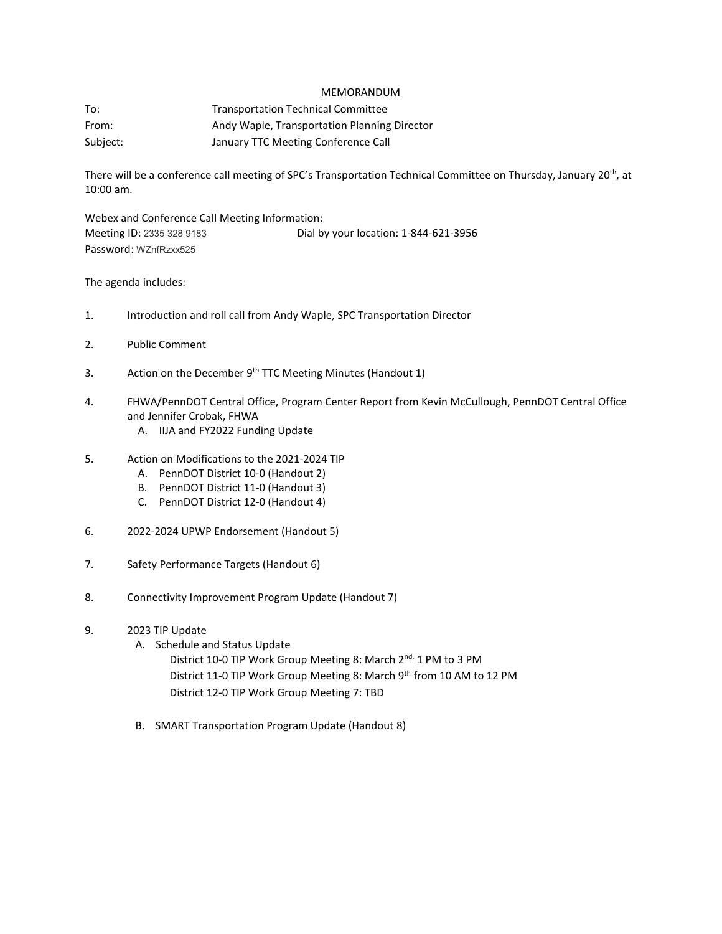## MEMORANDUM

To: Transportation Technical Committee From: Andy Waple, Transportation Planning Director Subject: January TTC Meeting Conference Call

There will be a conference call meeting of SPC's Transportation Technical Committee on Thursday, January 20<sup>th</sup>, at 10:00 am.

Webex and Conference Call Meeting Information: Meeting ID: 2335 328 9183 Dial by your location: 1-844-621-3956 Password: WZnfRzxx525

The agenda includes:

- 1. Introduction and roll call from Andy Waple, SPC Transportation Director
- 2. Public Comment
- 3. Action on the December 9<sup>th</sup> TTC Meeting Minutes (Handout 1)
- 4. FHWA/PennDOT Central Office, Program Center Report from Kevin McCullough, PennDOT Central Office and Jennifer Crobak, FHWA
	- A. IIJA and FY2022 Funding Update
- 5. Action on Modifications to the 2021-2024 TIP
	- A. PennDOT District 10-0 (Handout 2)
	- B. PennDOT District 11-0 (Handout 3)
	- C. PennDOT District 12-0 (Handout 4)
- 6. 2022-2024 UPWP Endorsement (Handout 5)
- 7. Safety Performance Targets (Handout 6)
- 8. Connectivity Improvement Program Update (Handout 7)
- 9. 2023 TIP Update
	- A. Schedule and Status Update
		- District 10-0 TIP Work Group Meeting 8: March 2<sup>nd,</sup> 1 PM to 3 PM District 11-0 TIP Work Group Meeting 8: March 9<sup>th</sup> from 10 AM to 12 PM District 12-0 TIP Work Group Meeting 7: TBD
	- B. SMART Transportation Program Update (Handout 8)